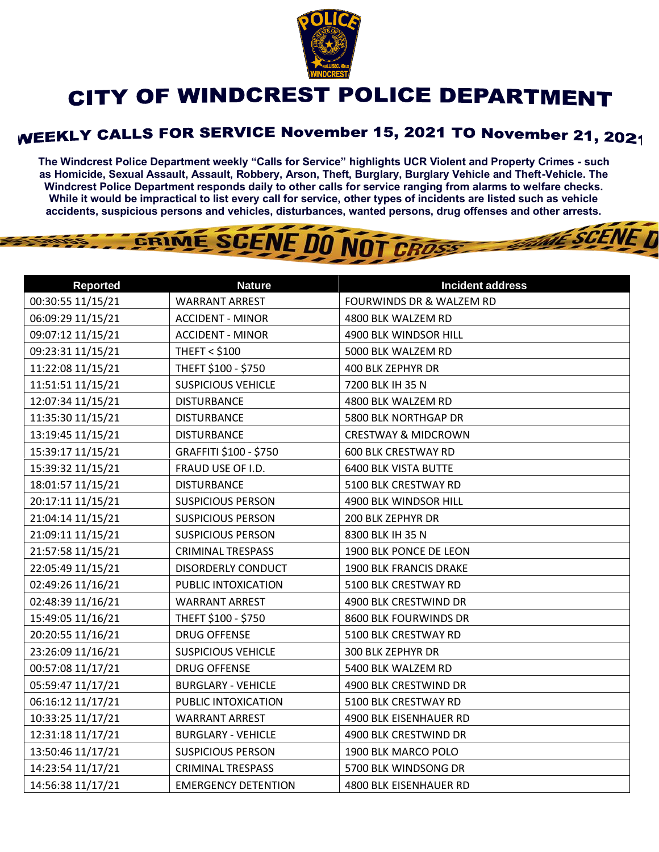

## CITY OF WINDCREST POLICE DEPARTMENT

## **WEEKLY CALLS FOR SERVICE November 15, 2021 TO November 21, 2021**

**The Windcrest Police Department weekly "Calls for Service" highlights UCR Violent and Property Crimes - such as Homicide, Sexual Assault, Assault, Robbery, Arson, Theft, Burglary, Burglary Vehicle and Theft-Vehicle. The Windcrest Police Department responds daily to other calls for service ranging from alarms to welfare checks. While it would be impractical to list every call for service, other types of incidents are listed such as vehicle accidents, suspicious persons and vehicles, disturbances, wanted persons, drug offenses and other arrests.** 

THE SCENE D

GRIME SCENE DO NOT CROSS

| <b>Reported</b>   | <b>Nature</b>              | <b>Incident address</b>             |
|-------------------|----------------------------|-------------------------------------|
| 00:30:55 11/15/21 | <b>WARRANT ARREST</b>      | <b>FOURWINDS DR &amp; WALZEM RD</b> |
| 06:09:29 11/15/21 | <b>ACCIDENT - MINOR</b>    | 4800 BLK WALZEM RD                  |
| 09:07:12 11/15/21 | <b>ACCIDENT - MINOR</b>    | 4900 BLK WINDSOR HILL               |
| 09:23:31 11/15/21 | <b>THEFT &lt; \$100</b>    | 5000 BLK WALZEM RD                  |
| 11:22:08 11/15/21 | THEFT \$100 - \$750        | 400 BLK ZEPHYR DR                   |
| 11:51:51 11/15/21 | <b>SUSPICIOUS VEHICLE</b>  | 7200 BLK IH 35 N                    |
| 12:07:34 11/15/21 | <b>DISTURBANCE</b>         | 4800 BLK WALZEM RD                  |
| 11:35:30 11/15/21 | <b>DISTURBANCE</b>         | 5800 BLK NORTHGAP DR                |
| 13:19:45 11/15/21 | <b>DISTURBANCE</b>         | <b>CRESTWAY &amp; MIDCROWN</b>      |
| 15:39:17 11/15/21 | GRAFFITI \$100 - \$750     | <b>600 BLK CRESTWAY RD</b>          |
| 15:39:32 11/15/21 | FRAUD USE OF I.D.          | <b>6400 BLK VISTA BUTTE</b>         |
| 18:01:57 11/15/21 | <b>DISTURBANCE</b>         | 5100 BLK CRESTWAY RD                |
| 20:17:11 11/15/21 | <b>SUSPICIOUS PERSON</b>   | 4900 BLK WINDSOR HILL               |
| 21:04:14 11/15/21 | <b>SUSPICIOUS PERSON</b>   | 200 BLK ZEPHYR DR                   |
| 21:09:11 11/15/21 | <b>SUSPICIOUS PERSON</b>   | 8300 BLK IH 35 N                    |
| 21:57:58 11/15/21 | <b>CRIMINAL TRESPASS</b>   | 1900 BLK PONCE DE LEON              |
| 22:05:49 11/15/21 | DISORDERLY CONDUCT         | 1900 BLK FRANCIS DRAKE              |
| 02:49:26 11/16/21 | PUBLIC INTOXICATION        | 5100 BLK CRESTWAY RD                |
| 02:48:39 11/16/21 | <b>WARRANT ARREST</b>      | 4900 BLK CRESTWIND DR               |
| 15:49:05 11/16/21 | THEFT \$100 - \$750        | 8600 BLK FOURWINDS DR               |
| 20:20:55 11/16/21 | <b>DRUG OFFENSE</b>        | 5100 BLK CRESTWAY RD                |
| 23:26:09 11/16/21 | <b>SUSPICIOUS VEHICLE</b>  | 300 BLK ZEPHYR DR                   |
| 00:57:08 11/17/21 | <b>DRUG OFFENSE</b>        | 5400 BLK WALZEM RD                  |
| 05:59:47 11/17/21 | <b>BURGLARY - VEHICLE</b>  | 4900 BLK CRESTWIND DR               |
| 06:16:12 11/17/21 | PUBLIC INTOXICATION        | 5100 BLK CRESTWAY RD                |
| 10:33:25 11/17/21 | <b>WARRANT ARREST</b>      | 4900 BLK EISENHAUER RD              |
| 12:31:18 11/17/21 | <b>BURGLARY - VEHICLE</b>  | 4900 BLK CRESTWIND DR               |
| 13:50:46 11/17/21 | <b>SUSPICIOUS PERSON</b>   | 1900 BLK MARCO POLO                 |
| 14:23:54 11/17/21 | <b>CRIMINAL TRESPASS</b>   | 5700 BLK WINDSONG DR                |
| 14:56:38 11/17/21 | <b>EMERGENCY DETENTION</b> | 4800 BLK EISENHAUER RD              |